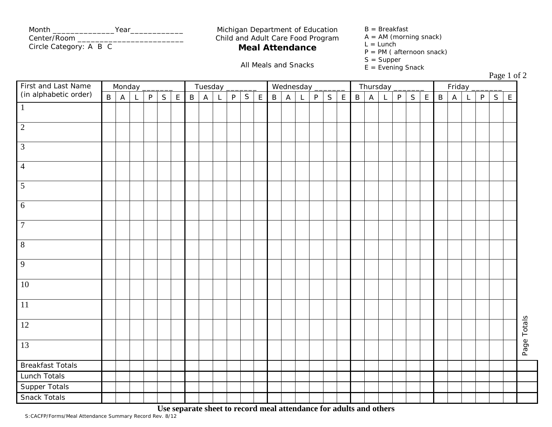| Month<br>Year          | Michigan Department of Education  | $B = B$ reakfast         |
|------------------------|-----------------------------------|--------------------------|
| Center/Room            | Child and Adult Care Food Program | $A = AM$ (morning snack) |
| Circle Category: A B C | <b>Meal Attendance</b>            | L = Lunch                |

## Michigan Department of Education  $B = B$ reakfast<br>Child and Adult Care Food Program  $A = AM$  (morning snack) **Meal Attendance**  $L = Lunch$ <br> $P = PM$  (afternoon snack)<br> $S = Supper$

- 
- 
- $L = Lunch$
- 
- 
- S = Supper All Meals and Snacks E = Evening Snack

 $P<sub>2009</sub> 1 of 2$ 

| First and Last Name<br>Monday                                          |  |                                            |                                                                  | Tuesday |  |  |  |                                                                  |  |  | Wednesday |  |  |                                                                                            |  |  | Thursday |  |  |                                              |  |  | $1 \text{ age} 1 \text{ of } 2$<br>Friday |  |  |  |  |  |  |             |
|------------------------------------------------------------------------|--|--------------------------------------------|------------------------------------------------------------------|---------|--|--|--|------------------------------------------------------------------|--|--|-----------|--|--|--------------------------------------------------------------------------------------------|--|--|----------|--|--|----------------------------------------------|--|--|-------------------------------------------|--|--|--|--|--|--|-------------|
| (in alphabetic order)<br>$\mathsf{B}$<br>P<br>S<br>$\overline{A}$<br>L |  | $\mathsf{E}% _{0}\left( \mathsf{E}\right)$ | S<br>P<br>$\mathsf{A}$<br>$\mathsf E$<br>$\sf B$<br>$\mathsf{L}$ |         |  |  |  | P.<br>$\, {\sf B}$<br>$\overline{A}$<br>S<br>$\mathsf{E}^-$<br>L |  |  |           |  |  | P<br>S<br>$\mathsf{E}% _{0}\left( \mathsf{E}\right)$<br>$\mathsf B$<br>$\overline{A}$<br>L |  |  |          |  |  | P<br>S<br>$\mathsf B$<br>$\overline{A}$<br>L |  |  | E                                         |  |  |  |  |  |  |             |
| $\overline{1}$                                                         |  |                                            |                                                                  |         |  |  |  |                                                                  |  |  |           |  |  |                                                                                            |  |  |          |  |  |                                              |  |  |                                           |  |  |  |  |  |  |             |
| $\overline{2}$                                                         |  |                                            |                                                                  |         |  |  |  |                                                                  |  |  |           |  |  |                                                                                            |  |  |          |  |  |                                              |  |  |                                           |  |  |  |  |  |  |             |
| $\overline{3}$                                                         |  |                                            |                                                                  |         |  |  |  |                                                                  |  |  |           |  |  |                                                                                            |  |  |          |  |  |                                              |  |  |                                           |  |  |  |  |  |  |             |
| $\overline{4}$                                                         |  |                                            |                                                                  |         |  |  |  |                                                                  |  |  |           |  |  |                                                                                            |  |  |          |  |  |                                              |  |  |                                           |  |  |  |  |  |  |             |
| $\overline{5}$                                                         |  |                                            |                                                                  |         |  |  |  |                                                                  |  |  |           |  |  |                                                                                            |  |  |          |  |  |                                              |  |  |                                           |  |  |  |  |  |  |             |
| 6                                                                      |  |                                            |                                                                  |         |  |  |  |                                                                  |  |  |           |  |  |                                                                                            |  |  |          |  |  |                                              |  |  |                                           |  |  |  |  |  |  |             |
| $\overline{7}$                                                         |  |                                            |                                                                  |         |  |  |  |                                                                  |  |  |           |  |  |                                                                                            |  |  |          |  |  |                                              |  |  |                                           |  |  |  |  |  |  |             |
| $\overline{8}$                                                         |  |                                            |                                                                  |         |  |  |  |                                                                  |  |  |           |  |  |                                                                                            |  |  |          |  |  |                                              |  |  |                                           |  |  |  |  |  |  |             |
| 9                                                                      |  |                                            |                                                                  |         |  |  |  |                                                                  |  |  |           |  |  |                                                                                            |  |  |          |  |  |                                              |  |  |                                           |  |  |  |  |  |  |             |
| 10                                                                     |  |                                            |                                                                  |         |  |  |  |                                                                  |  |  |           |  |  |                                                                                            |  |  |          |  |  |                                              |  |  |                                           |  |  |  |  |  |  |             |
| $\overline{11}$                                                        |  |                                            |                                                                  |         |  |  |  |                                                                  |  |  |           |  |  |                                                                                            |  |  |          |  |  |                                              |  |  |                                           |  |  |  |  |  |  |             |
| 12                                                                     |  |                                            |                                                                  |         |  |  |  |                                                                  |  |  |           |  |  |                                                                                            |  |  |          |  |  |                                              |  |  |                                           |  |  |  |  |  |  | Page Totals |
| 13                                                                     |  |                                            |                                                                  |         |  |  |  |                                                                  |  |  |           |  |  |                                                                                            |  |  |          |  |  |                                              |  |  |                                           |  |  |  |  |  |  |             |
| <b>Breakfast Totals</b>                                                |  |                                            |                                                                  |         |  |  |  |                                                                  |  |  |           |  |  |                                                                                            |  |  |          |  |  |                                              |  |  |                                           |  |  |  |  |  |  |             |
| Lunch Totals                                                           |  |                                            |                                                                  |         |  |  |  |                                                                  |  |  |           |  |  |                                                                                            |  |  |          |  |  |                                              |  |  |                                           |  |  |  |  |  |  |             |
| Supper Totals                                                          |  |                                            |                                                                  |         |  |  |  |                                                                  |  |  |           |  |  |                                                                                            |  |  |          |  |  |                                              |  |  |                                           |  |  |  |  |  |  |             |
| <b>Snack Totals</b>                                                    |  |                                            |                                                                  |         |  |  |  |                                                                  |  |  |           |  |  |                                                                                            |  |  |          |  |  |                                              |  |  |                                           |  |  |  |  |  |  |             |

 **Use separate sheet to record meal attendance for adults and others**